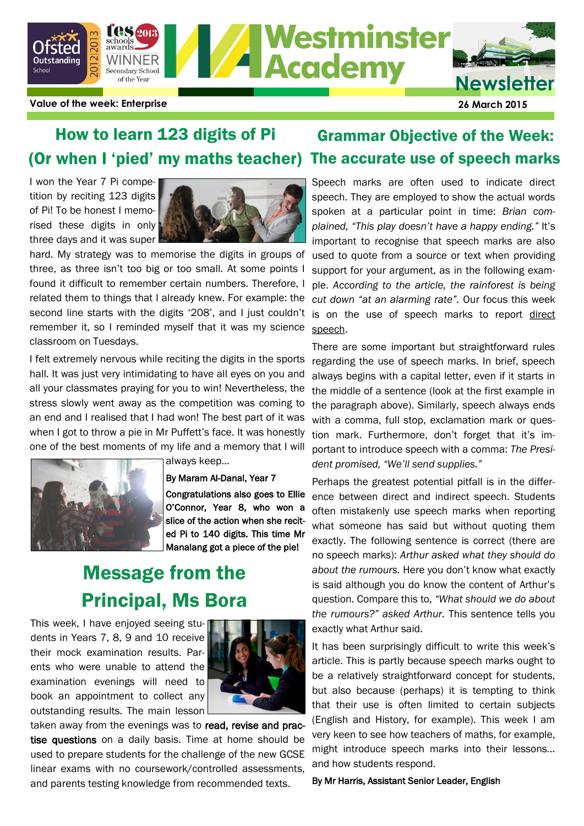

#### (Or when I 'pied' my maths teacher) The accurate use of speech marks How to learn 123 digits of Pi

I won the Year 7 Pi competition by reciting 123 digits of Pi! To be honest I memorised these digits in only three days and it was super



hard. My strategy was to memorise the digits in groups of three, as three isn't too big or too small. At some points I found it difficult to remember certain numbers. Therefore, I related them to things that I already knew. For example: the second line starts with the digits '208', and I just couldn't remember it, so I reminded myself that it was my science classroom on Tuesdays.

I felt extremely nervous while reciting the digits in the sports hall. It was just very intimidating to have all eyes on you and all your classmates praying for you to win! Nevertheless, the stress slowly went away as the competition was coming to an end and I realised that I had won! The best part of it was when I got to throw a pie in Mr Puffett's face. It was honestly one of the best moments of my life and a memory that I will



always keep…

By Maram Al-Danal, Year 7 Congratulations also goes to Ellie O'Connor, Year 8, who won a slice of the action when she recited Pi to 140 digits. This time Mr Manalang got a piece of the pie!

## Message from the Principal, Ms Bora

This week, I have enjoyed seeing students in Years 7, 8, 9 and 10 receive their mock examination results. Parents who were unable to attend the examination evenings will need to book an appointment to collect any outstanding results. The main lesson



taken away from the evenings was to read, revise and practise questions on a daily basis. Time at home should be used to prepare students for the challenge of the new GCSE linear exams with no coursework/controlled assessments, and parents testing knowledge from recommended texts.

# Grammar Objective of the Week:

Speech marks are often used to indicate direct speech. They are employed to show the actual words spoken at a particular point in time: *Brian complained, "This play doesn't have a happy ending."* It's important to recognise that speech marks are also used to quote from a source or text when providing support for your argument, as in the following example. *According to the article, the rainforest is being cut down "at an alarming rate".* Our focus this week is on the use of speech marks to report direct speech.

There are some important but straightforward rules regarding the use of speech marks. In brief, speech always begins with a capital letter, even if it starts in the middle of a sentence (look at the first example in the paragraph above). Similarly, speech always ends with a comma, full stop, exclamation mark or question mark. Furthermore, don't forget that it's important to introduce speech with a comma: *The President promised, "We'll send supplies."*

Perhaps the greatest potential pitfall is in the difference between direct and indirect speech. Students often mistakenly use speech marks when reporting what someone has said but without quoting them exactly. The following sentence is correct (there are no speech marks): *Arthur asked what they should do about the rumours.* Here you don't know what exactly is said although you do know the content of Arthur's question. Compare this to, *"What should we do about the rumours?" asked Arthur.* This sentence tells you exactly what Arthur said.

It has been surprisingly difficult to write this week's article. This is partly because speech marks ought to be a relatively straightforward concept for students, but also because (perhaps) it is tempting to think that their use is often limited to certain subjects (English and History, for example). This week I am very keen to see how teachers of maths, for example, might introduce speech marks into their lessons… and how students respond.

By Mr Harris, Assistant Senior Leader, English